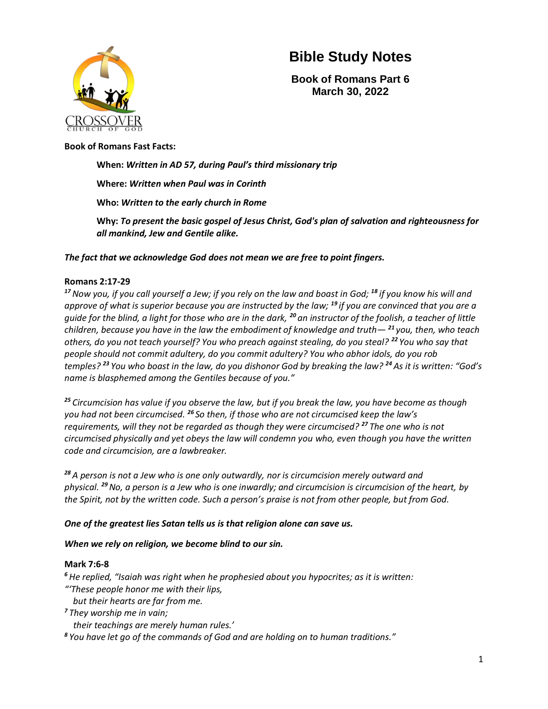

**Book of Romans Part 6 March 30, 2022**

#### **Book of Romans Fast Facts:**

**When:** *Written in AD 57, during Paul's third missionary trip* **Where:** *Written when Paul was in Corinth* **Who:** *Written to the early church in Rome* **Why:** *To present the basic gospel of Jesus Christ, God's plan of salvation and righteousness for all mankind, Jew and Gentile alike.*

*The fact that we acknowledge God does not mean we are free to point fingers.*

#### **Romans 2:17-29**

*<sup>17</sup>Now you, if you call yourself a Jew; if you rely on the law and boast in God; <sup>18</sup> if you know his will and approve of what is superior because you are instructed by the law; <sup>19</sup> if you are convinced that you are a guide for the blind, a light for those who are in the dark, <sup>20</sup> an instructor of the foolish, a teacher of little children, because you have in the law the embodiment of knowledge and truth— <sup>21</sup> you, then, who teach others, do you not teach yourself? You who preach against stealing, do you steal? <sup>22</sup> You who say that people should not commit adultery, do you commit adultery? You who abhor idols, do you rob temples? <sup>23</sup> You who boast in the law, do you dishonor God by breaking the law? <sup>24</sup> As it is written: "God's name is blasphemed among the Gentiles because of you."*

*<sup>25</sup> Circumcision has value if you observe the law, but if you break the law, you have become as though you had not been circumcised. <sup>26</sup> So then, if those who are not circumcised keep the law's requirements, will they not be regarded as though they were circumcised? <sup>27</sup> The one who is not circumcised physically and yet obeys the law will condemn you who, even though you have the written code and circumcision, are a lawbreaker.*

*<sup>28</sup> A person is not a Jew who is one only outwardly, nor is circumcision merely outward and physical. <sup>29</sup>No, a person is a Jew who is one inwardly; and circumcision is circumcision of the heart, by the Spirit, not by the written code. Such a person's praise is not from other people, but from God.*

#### *One of the greatest lies Satan tells us is that religion alone can save us.*

#### *When we rely on religion, we become blind to our sin.*

#### **Mark 7:6-8**

*<sup>6</sup> He replied, "Isaiah was right when he prophesied about you hypocrites; as it is written: "'These people honor me with their lips, but their hearts are far from me.*

*7 They worship me in vain;*

*their teachings are merely human rules.'*

*8 You have let go of the commands of God and are holding on to human traditions."*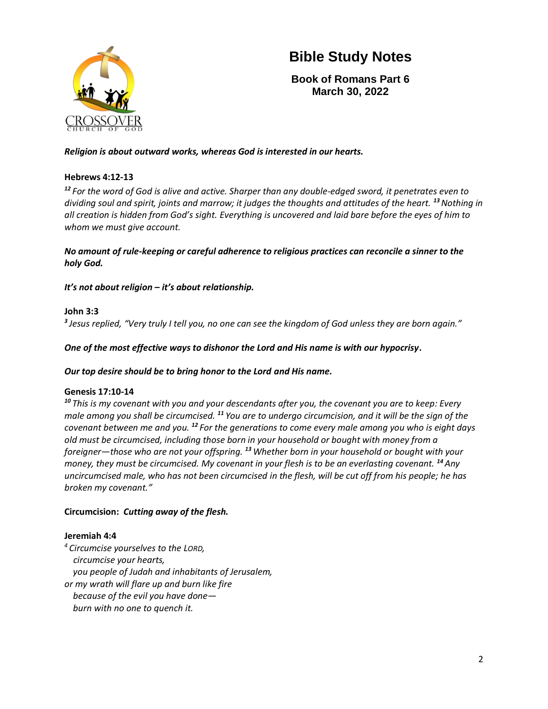

**Book of Romans Part 6 March 30, 2022**

#### *Religion is about outward works, whereas God is interested in our hearts.*

#### **Hebrews 4:12-13**

*<sup>12</sup> For the word of God is alive and active. Sharper than any double-edged sword, it penetrates even to dividing soul and spirit, joints and marrow; it judges the thoughts and attitudes of the heart. <sup>13</sup>Nothing in all creation is hidden from God's sight. Everything is uncovered and laid bare before the eyes of him to whom we must give account.*

*No amount of rule-keeping or careful adherence to religious practices can reconcile a sinner to the holy God.*

*It's not about religion – it's about relationship.*

#### **John 3:3**

*3 Jesus replied, "Very truly I tell you, no one can see the kingdom of God unless they are born again."*

*One of the most effective ways to dishonor the Lord and His name is with our hypocrisy***.** 

*Our top desire should be to bring honor to the Lord and His name.*

#### **Genesis 17:10-14**

*<sup>10</sup> This is my covenant with you and your descendants after you, the covenant you are to keep: Every male among you shall be circumcised. <sup>11</sup> You are to undergo circumcision, and it will be the sign of the covenant between me and you. <sup>12</sup> For the generations to come every male among you who is eight days old must be circumcised, including those born in your household or bought with money from a foreigner—those who are not your offspring. <sup>13</sup> Whether born in your household or bought with your money, they must be circumcised. My covenant in your flesh is to be an everlasting covenant. <sup>14</sup>Any uncircumcised male, who has not been circumcised in the flesh, will be cut off from his people; he has broken my covenant."*

#### **Circumcision:** *Cutting away of the flesh.*

#### **Jeremiah 4:4**

*<sup>4</sup> Circumcise yourselves to the LORD, circumcise your hearts, you people of Judah and inhabitants of Jerusalem, or my wrath will flare up and burn like fire because of the evil you have done burn with no one to quench it.*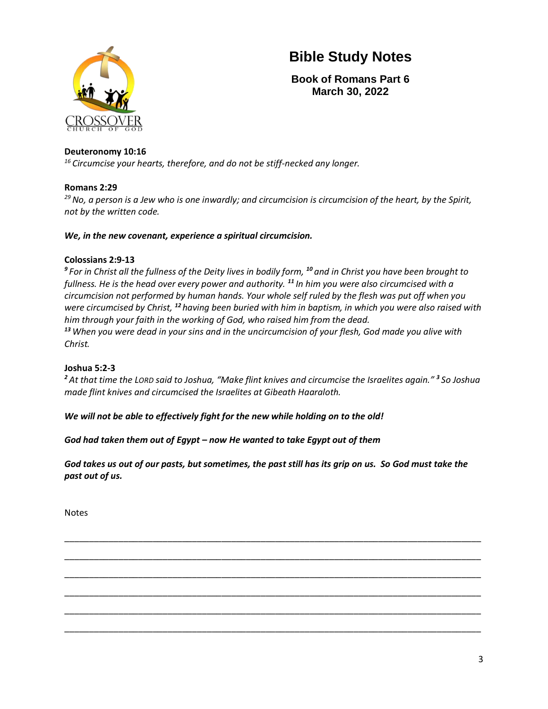

**Book of Romans Part 6 March 30, 2022**

#### **Deuteronomy 10:16**

*<sup>16</sup> Circumcise your hearts, therefore, and do not be stiff-necked any longer.*

#### **Romans 2:29**

*<sup>29</sup>No, a person is a Jew who is one inwardly; and circumcision is circumcision of the heart, by the Spirit, not by the written code.* 

#### *We, in the new covenant, experience a spiritual circumcision.*

#### **Colossians 2:9-13**

*9 For in Christ all the fullness of the Deity lives in bodily form, <sup>10</sup> and in Christ you have been brought to fullness. He is the head over every power and authority. <sup>11</sup> In him you were also circumcised with a circumcision not performed by human hands. Your whole self ruled by the flesh was put off when you were circumcised by Christ, <sup>12</sup> having been buried with him in baptism, in which you were also raised with him through your faith in the working of God, who raised him from the dead. <sup>13</sup> When you were dead in your sins and in the uncircumcision of your flesh, God made you alive with Christ.* 

#### **Joshua 5:2-3**

*<sup>2</sup> At that time the LORD said to Joshua, "Make flint knives and circumcise the Israelites again." <sup>3</sup> So Joshua made flint knives and circumcised the Israelites at Gibeath Haaraloth.*

*We will not be able to effectively fight for the new while holding on to the old!* 

*God had taken them out of Egypt – now He wanted to take Egypt out of them* 

*God takes us out of our pasts, but sometimes, the past still has its grip on us. So God must take the past out of us.* 

\_\_\_\_\_\_\_\_\_\_\_\_\_\_\_\_\_\_\_\_\_\_\_\_\_\_\_\_\_\_\_\_\_\_\_\_\_\_\_\_\_\_\_\_\_\_\_\_\_\_\_\_\_\_\_\_\_\_\_\_\_\_\_\_\_\_\_\_\_\_\_\_\_\_\_\_\_\_\_\_\_\_\_\_\_

\_\_\_\_\_\_\_\_\_\_\_\_\_\_\_\_\_\_\_\_\_\_\_\_\_\_\_\_\_\_\_\_\_\_\_\_\_\_\_\_\_\_\_\_\_\_\_\_\_\_\_\_\_\_\_\_\_\_\_\_\_\_\_\_\_\_\_\_\_\_\_\_\_\_\_\_\_\_\_\_\_\_\_\_\_

\_\_\_\_\_\_\_\_\_\_\_\_\_\_\_\_\_\_\_\_\_\_\_\_\_\_\_\_\_\_\_\_\_\_\_\_\_\_\_\_\_\_\_\_\_\_\_\_\_\_\_\_\_\_\_\_\_\_\_\_\_\_\_\_\_\_\_\_\_\_\_\_\_\_\_\_\_\_\_\_\_\_\_\_\_

\_\_\_\_\_\_\_\_\_\_\_\_\_\_\_\_\_\_\_\_\_\_\_\_\_\_\_\_\_\_\_\_\_\_\_\_\_\_\_\_\_\_\_\_\_\_\_\_\_\_\_\_\_\_\_\_\_\_\_\_\_\_\_\_\_\_\_\_\_\_\_\_\_\_\_\_\_\_\_\_\_\_\_\_\_

\_\_\_\_\_\_\_\_\_\_\_\_\_\_\_\_\_\_\_\_\_\_\_\_\_\_\_\_\_\_\_\_\_\_\_\_\_\_\_\_\_\_\_\_\_\_\_\_\_\_\_\_\_\_\_\_\_\_\_\_\_\_\_\_\_\_\_\_\_\_\_\_\_\_\_\_\_\_\_\_\_\_\_\_\_

\_\_\_\_\_\_\_\_\_\_\_\_\_\_\_\_\_\_\_\_\_\_\_\_\_\_\_\_\_\_\_\_\_\_\_\_\_\_\_\_\_\_\_\_\_\_\_\_\_\_\_\_\_\_\_\_\_\_\_\_\_\_\_\_\_\_\_\_\_\_\_\_\_\_\_\_\_\_\_\_\_\_\_\_\_

Notes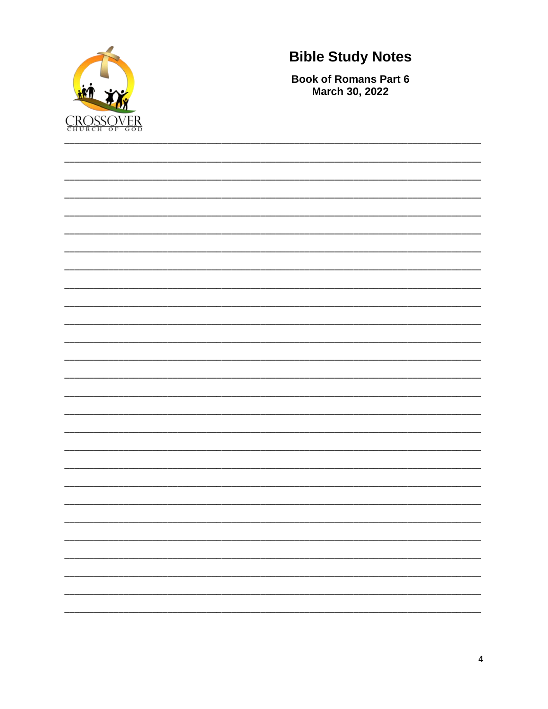

**Book of Romans Part 6** March 30, 2022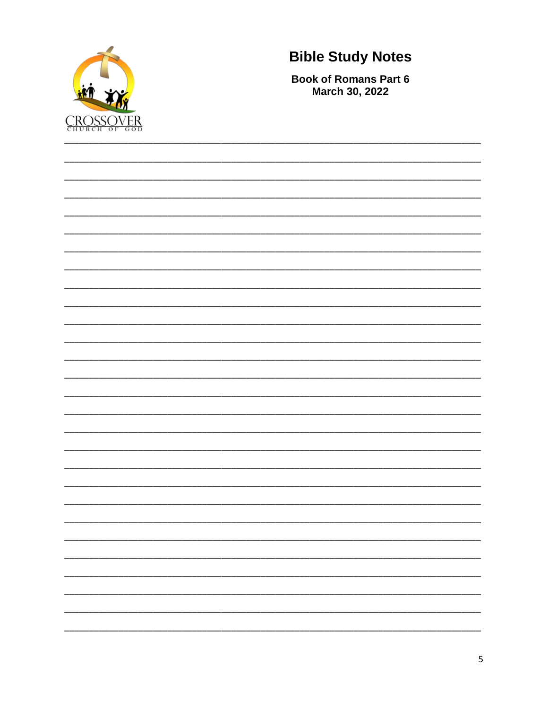

**Book of Romans Part 6** March 30, 2022